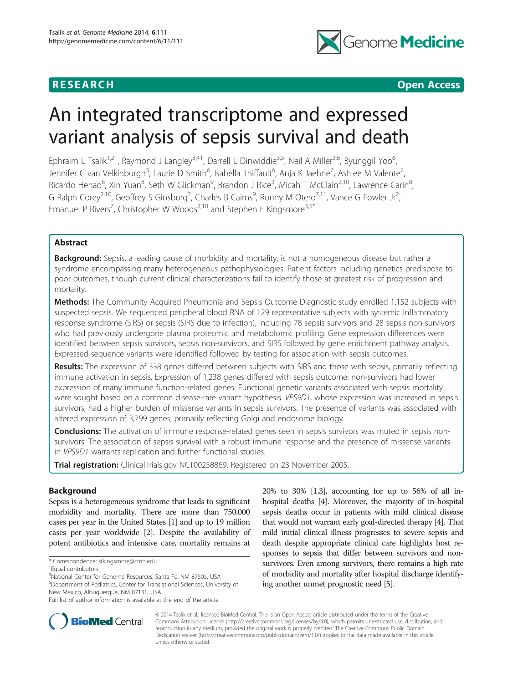## **RESEARCH RESEARCH** *CHECK CHECK CHECK CHECK CHECK CHECK CHECK CHECK CHECK CHECK CHECK CHECK CHECK CHECK CHECK CHECK CHECK CHECK CHECK CHECK CHECK CHECK CHECK CHECK CHECK CHECK CHECK CHECK CHECK CHECK CHECK CHECK CHECK*



# An integrated transcriptome and expressed variant analysis of sepsis survival and death

Ephraim L Tsalik<sup>1,2†</sup>, Raymond J Langley<sup>3,4†</sup>, Darrell L Dinwiddie<sup>3,5</sup>, Neil A Miller<sup>3,6</sup>, Byunggil Yoo<sup>6</sup> , Jennifer C van Velkinburgh<sup>3</sup>, Laurie D Smith<sup>6</sup>, Isabella Thiffault<sup>6</sup>, Anja K Jaehne<sup>7</sup>, Ashlee M Valente<sup>2</sup> , Ricardo Henao<sup>8</sup>, Xin Yuan<sup>8</sup>, Seth W Glickman<sup>9</sup>, Brandon J Rice<sup>3</sup>, Micah T McClain<sup>2,10</sup>, Lawrence Carin<sup>8</sup> , G Ralph Corey<sup>2,10</sup>, Geoffrey S Ginsburg<sup>2</sup>, Charles B Cairns<sup>9</sup>, Ronny M Otero<sup>7,11</sup>, Vance G Fowler Jr<sup>2</sup> , Emanuel P Rivers<sup>7</sup>, Christopher W Woods<sup>2,10</sup> and Stephen F Kingsmore<sup>3,5\*</sup>

## Abstract

**Background:** Sepsis, a leading cause of morbidity and mortality, is not a homogeneous disease but rather a syndrome encompassing many heterogeneous pathophysiologies. Patient factors including genetics predispose to poor outcomes, though current clinical characterizations fail to identify those at greatest risk of progression and mortality.

Methods: The Community Acquired Pneumonia and Sepsis Outcome Diagnostic study enrolled 1,152 subjects with suspected sepsis. We sequenced peripheral blood RNA of 129 representative subjects with systemic inflammatory response syndrome (SIRS) or sepsis (SIRS due to infection), including 78 sepsis survivors and 28 sepsis non-survivors who had previously undergone plasma proteomic and metabolomic profiling. Gene expression differences were identified between sepsis survivors, sepsis non-survivors, and SIRS followed by gene enrichment pathway analysis. Expressed sequence variants were identified followed by testing for association with sepsis outcomes.

Results: The expression of 338 genes differed between subjects with SIRS and those with sepsis, primarily reflecting immune activation in sepsis. Expression of 1,238 genes differed with sepsis outcome: non-survivors had lower expression of many immune function-related genes. Functional genetic variants associated with sepsis mortality were sought based on a common disease-rare variant hypothesis. VPS9D1, whose expression was increased in sepsis survivors, had a higher burden of missense variants in sepsis survivors. The presence of variants was associated with altered expression of 3,799 genes, primarily reflecting Golgi and endosome biology.

**Conclusions:** The activation of immune response-related genes seen in sepsis survivors was muted in sepsis nonsurvivors. The association of sepsis survival with a robust immune response and the presence of missense variants in VPS9D1 warrants replication and further functional studies.

Trial registration: ClinicalTrials.gov [NCT00258869](https://clinicaltrials.gov/ct2/show/NCT00258869). Registered on 23 November 2005.

## Background

Sepsis is a heterogeneous syndrome that leads to significant morbidity and mortality. There are more than 750,000 cases per year in the United States [\[1](#page-12-0)] and up to 19 million cases per year worldwide [\[2\]](#page-12-0). Despite the availability of potent antibiotics and intensive care, mortality remains at

<sup>3</sup>National Center for Genome Resources, Santa Fe, NM 87505, USA 5 Department of Pediatrics, Center for Translational Sciences, University of 20% to 30% [[1,3](#page-12-0)], accounting for up to 56% of all inhospital deaths [\[4](#page-12-0)]. Moreover, the majority of in-hospital sepsis deaths occur in patients with mild clinical disease that would not warrant early goal-directed therapy [[4](#page-12-0)]. That mild initial clinical illness progresses to severe sepsis and death despite appropriate clinical care highlights host responses to sepsis that differ between survivors and nonsurvivors. Even among survivors, there remains a high rate of morbidity and mortality after hospital discharge identifying another unmet prognostic need [[5](#page-12-0)].



© 2014 Tsalik et al.; licensee BioMed Central. This is an Open Access article distributed under the terms of the Creative Commons Attribution License [\(http://creativecommons.org/licenses/by/4.0\)](http://creativecommons.org/licenses/by/4.0), which permits unrestricted use, distribution, and reproduction in any medium, provided the original work is properly credited. The Creative Commons Public Domain Dedication waiver [\(http://creativecommons.org/publicdomain/zero/1.0/](http://creativecommons.org/publicdomain/zero/1.0/)) applies to the data made available in this article, unless otherwise stated.

<sup>\*</sup> Correspondence: [sfkingsmore@cmh.edu](mailto:sfkingsmore@cmh.edu) †

Equal contributors

New Mexico, Albuquerque, NM 87131, USA Full list of author information is available at the end of the article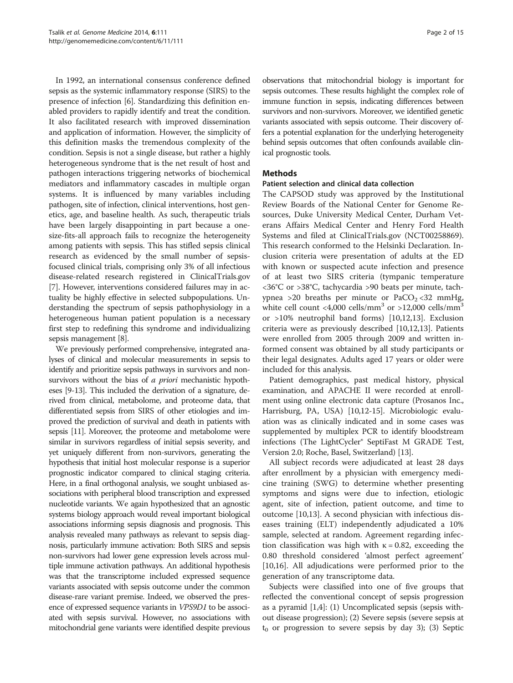In 1992, an international consensus conference defined sepsis as the systemic inflammatory response (SIRS) to the presence of infection [\[6](#page-12-0)]. Standardizing this definition enabled providers to rapidly identify and treat the condition. It also facilitated research with improved dissemination and application of information. However, the simplicity of this definition masks the tremendous complexity of the condition. Sepsis is not a single disease, but rather a highly heterogeneous syndrome that is the net result of host and pathogen interactions triggering networks of biochemical mediators and inflammatory cascades in multiple organ systems. It is influenced by many variables including pathogen, site of infection, clinical interventions, host genetics, age, and baseline health. As such, therapeutic trials have been largely disappointing in part because a onesize-fits-all approach fails to recognize the heterogeneity among patients with sepsis. This has stifled sepsis clinical research as evidenced by the small number of sepsisfocused clinical trials, comprising only 3% of all infectious disease-related research registered in ClinicalTrials.gov [[7\]](#page-12-0). However, interventions considered failures may in actuality be highly effective in selected subpopulations. Understanding the spectrum of sepsis pathophysiology in a heterogeneous human patient population is a necessary first step to redefining this syndrome and individualizing sepsis management [[8\]](#page-12-0).

We previously performed comprehensive, integrated analyses of clinical and molecular measurements in sepsis to identify and prioritize sepsis pathways in survivors and nonsurvivors without the bias of *a priori* mechanistic hypotheses [\[9-13\]](#page-12-0). This included the derivation of a signature, derived from clinical, metabolome, and proteome data, that differentiated sepsis from SIRS of other etiologies and improved the prediction of survival and death in patients with sepsis [\[11\]](#page-12-0). Moreover, the proteome and metabolome were similar in survivors regardless of initial sepsis severity, and yet uniquely different from non-survivors, generating the hypothesis that initial host molecular response is a superior prognostic indicator compared to clinical staging criteria. Here, in a final orthogonal analysis, we sought unbiased associations with peripheral blood transcription and expressed nucleotide variants. We again hypothesized that an agnostic systems biology approach would reveal important biological associations informing sepsis diagnosis and prognosis. This analysis revealed many pathways as relevant to sepsis diagnosis, particularly immune activation: Both SIRS and sepsis non-survivors had lower gene expression levels across multiple immune activation pathways. An additional hypothesis was that the transcriptome included expressed sequence variants associated with sepsis outcome under the common disease-rare variant premise. Indeed, we observed the presence of expressed sequence variants in VPS9D1 to be associated with sepsis survival. However, no associations with mitochondrial gene variants were identified despite previous

observations that mitochondrial biology is important for sepsis outcomes. These results highlight the complex role of immune function in sepsis, indicating differences between survivors and non-survivors. Moreover, we identified genetic variants associated with sepsis outcome. Their discovery offers a potential explanation for the underlying heterogeneity behind sepsis outcomes that often confounds available clinical prognostic tools.

## Methods

## Patient selection and clinical data collection

The CAPSOD study was approved by the Institutional Review Boards of the National Center for Genome Resources, Duke University Medical Center, Durham Veterans Affairs Medical Center and Henry Ford Health Systems and filed at ClinicalTrials.gov (NCT00258869). This research conformed to the Helsinki Declaration. Inclusion criteria were presentation of adults at the ED with known or suspected acute infection and presence of at least two SIRS criteria (tympanic temperature <36°C or >38°C, tachycardia >90 beats per minute, tachypnea >20 breaths per minute or  $PaCO<sub>2</sub> < 32$  mmHg, white cell count <4,000 cells/mm<sup>3</sup> or >12,000 cells/mm<sup>3</sup> or >10% neutrophil band forms) [[10,12,13\]](#page-12-0). Exclusion criteria were as previously described [\[10,12,13](#page-12-0)]. Patients were enrolled from 2005 through 2009 and written informed consent was obtained by all study participants or their legal designates. Adults aged 17 years or older were included for this analysis.

Patient demographics, past medical history, physical examination, and APACHE II were recorded at enrollment using online electronic data capture (Prosanos Inc., Harrisburg, PA, USA) [\[10,12-15\]](#page-12-0). Microbiologic evaluation was as clinically indicated and in some cases was supplemented by multiplex PCR to identify bloodstream infections (The LightCycler® SeptiFast M GRADE Test, Version 2.0; Roche, Basel, Switzerland) [\[13\]](#page-12-0).

All subject records were adjudicated at least 28 days after enrollment by a physician with emergency medicine training (SWG) to determine whether presenting symptoms and signs were due to infection, etiologic agent, site of infection, patient outcome, and time to outcome [[10](#page-12-0),[13](#page-12-0)]. A second physician with infectious diseases training (ELT) independently adjudicated a 10% sample, selected at random. Agreement regarding infection classification was high with  $\kappa = 0.82$ , exceeding the 0.80 threshold considered 'almost perfect agreement' [[10,16\]](#page-12-0). All adjudications were performed prior to the generation of any transcriptome data.

Subjects were classified into one of five groups that reflected the conventional concept of sepsis progression as a pyramid [\[1,4\]](#page-12-0): (1) Uncomplicated sepsis (sepsis without disease progression); (2) Severe sepsis (severe sepsis at  $t_0$  or progression to severe sepsis by day 3); (3) Septic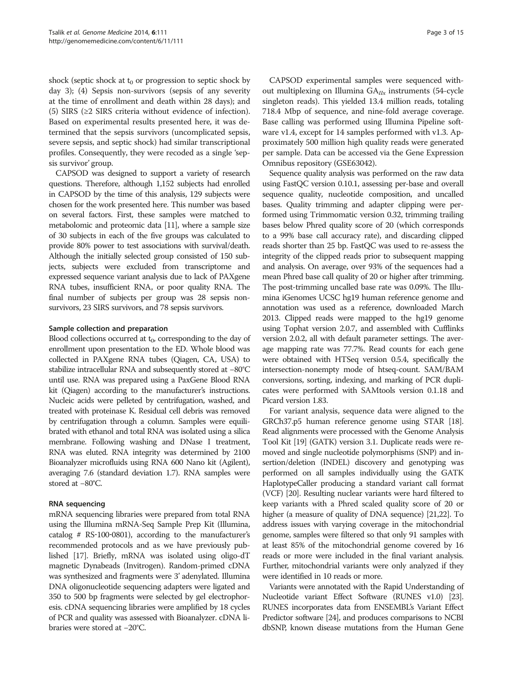shock (septic shock at  $t_0$  or progression to septic shock by day 3); (4) Sepsis non-survivors (sepsis of any severity at the time of enrollment and death within 28 days); and (5) SIRS (≥2 SIRS criteria without evidence of infection). Based on experimental results presented here, it was determined that the sepsis survivors (uncomplicated sepsis, severe sepsis, and septic shock) had similar transcriptional profiles. Consequently, they were recoded as a single 'sepsis survivor' group.

CAPSOD was designed to support a variety of research questions. Therefore, although 1,152 subjects had enrolled in CAPSOD by the time of this analysis, 129 subjects were chosen for the work presented here. This number was based on several factors. First, these samples were matched to metabolomic and proteomic data [[11](#page-12-0)], where a sample size of 30 subjects in each of the five groups was calculated to provide 80% power to test associations with survival/death. Although the initially selected group consisted of 150 subjects, subjects were excluded from transcriptome and expressed sequence variant analysis due to lack of PAXgene RNA tubes, insufficient RNA, or poor quality RNA. The final number of subjects per group was 28 sepsis nonsurvivors, 23 SIRS survivors, and 78 sepsis survivors.

## Sample collection and preparation

Blood collections occurred at  $t_0$ , corresponding to the day of enrollment upon presentation to the ED. Whole blood was collected in PAXgene RNA tubes (Qiagen, CA, USA) to stabilize intracellular RNA and subsequently stored at −80°C until use. RNA was prepared using a PaxGene Blood RNA kit (Qiagen) according to the manufacturer's instructions. Nucleic acids were pelleted by centrifugation, washed, and treated with proteinase K. Residual cell debris was removed by centrifugation through a column. Samples were equilibrated with ethanol and total RNA was isolated using a silica membrane. Following washing and DNase I treatment, RNA was eluted. RNA integrity was determined by 2100 Bioanalyzer microfluids using RNA 600 Nano kit (Agilent), averaging 7.6 (standard deviation 1.7). RNA samples were stored at −80°C.

#### RNA sequencing

mRNA sequencing libraries were prepared from total RNA using the Illumina mRNA-Seq Sample Prep Kit (Illumina, catalog  $#$  RS-100-0801), according to the manufacturer's recommended protocols and as we have previously published [\[17\]](#page-12-0). Briefly, mRNA was isolated using oligo-dT magnetic Dynabeads (Invitrogen). Random-primed cDNA was synthesized and fragments were 3' adenylated. Illumina DNA oligonucleotide sequencing adapters were ligated and 350 to 500 bp fragments were selected by gel electrophoresis. cDNA sequencing libraries were amplified by 18 cycles of PCR and quality was assessed with Bioanalyzer. cDNA libraries were stored at −20°C.

CAPSOD experimental samples were sequenced without multiplexing on Illumina  $GA_{IIx}$  instruments (54-cycle singleton reads). This yielded 13.4 million reads, totaling 718.4 Mbp of sequence, and nine-fold average coverage. Base calling was performed using Illumina Pipeline software v1.4, except for 14 samples performed with v1.3. Approximately 500 million high quality reads were generated per sample. Data can be accessed via the Gene Expression Omnibus repository (GSE63042).

Sequence quality analysis was performed on the raw data using FastQC version 0.10.1, assessing per-base and overall sequence quality, nucleotide composition, and uncalled bases. Quality trimming and adapter clipping were performed using Trimmomatic version 0.32, trimming trailing bases below Phred quality score of 20 (which corresponds to a 99% base call accuracy rate), and discarding clipped reads shorter than 25 bp. FastQC was used to re-assess the integrity of the clipped reads prior to subsequent mapping and analysis. On average, over 93% of the sequences had a mean Phred base call quality of 20 or higher after trimming. The post-trimming uncalled base rate was 0.09%. The Illumina iGenomes UCSC hg19 human reference genome and annotation was used as a reference, downloaded March 2013. Clipped reads were mapped to the hg19 genome using Tophat version 2.0.7, and assembled with Cufflinks version 2.0.2, all with default parameter settings. The average mapping rate was 77.7%. Read counts for each gene were obtained with HTSeq version 0.5.4, specifically the intersection-nonempty mode of htseq-count. SAM/BAM conversions, sorting, indexing, and marking of PCR duplicates were performed with SAMtools version 0.1.18 and Picard version 1.83.

For variant analysis, sequence data were aligned to the GRCh37.p5 human reference genome using STAR [\[18](#page-12-0)]. Read alignments were processed with the Genome Analysis Tool Kit [\[19](#page-12-0)] (GATK) version 3.1. Duplicate reads were removed and single nucleotide polymorphisms (SNP) and insertion/deletion (INDEL) discovery and genotyping was performed on all samples individually using the GATK HaplotypeCaller producing a standard variant call format (VCF) [\[20](#page-12-0)]. Resulting nuclear variants were hard filtered to keep variants with a Phred scaled quality score of 20 or higher (a measure of quality of DNA sequence) [\[21,22](#page-12-0)]. To address issues with varying coverage in the mitochondrial genome, samples were filtered so that only 91 samples with at least 85% of the mitochondrial genome covered by 16 reads or more were included in the final variant analysis. Further, mitochondrial variants were only analyzed if they were identified in 10 reads or more.

Variants were annotated with the Rapid Understanding of Nucleotide variant Effect Software (RUNES v1.0) [\[23\]](#page-12-0). RUNES incorporates data from ENSEMBL's Variant Effect Predictor software [\[24\]](#page-12-0), and produces comparisons to NCBI dbSNP, known disease mutations from the Human Gene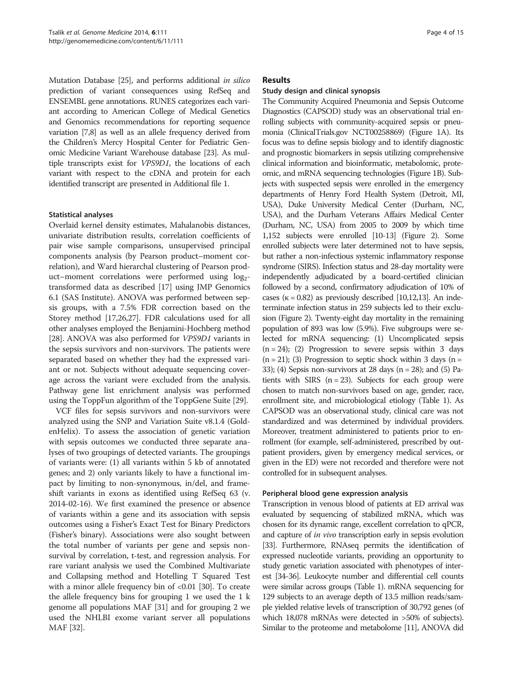Mutation Database [\[25](#page-12-0)], and performs additional in silico prediction of variant consequences using RefSeq and ENSEMBL gene annotations. RUNES categorizes each variant according to American College of Medical Genetics and Genomics recommendations for reporting sequence variation [[7,8](#page-12-0)] as well as an allele frequency derived from the Children's Mercy Hospital Center for Pediatric Genomic Medicine Variant Warehouse database [[23\]](#page-12-0). As multiple transcripts exist for VPS9D1, the locations of each variant with respect to the cDNA and protein for each identified transcript are presented in Additional file [1](#page-11-0).

### Statistical analyses

Overlaid kernel density estimates, Mahalanobis distances, univariate distribution results, correlation coefficients of pair wise sample comparisons, unsupervised principal components analysis (by Pearson product–moment correlation), and Ward hierarchal clustering of Pearson product–moment correlations were performed using  $log_2$ transformed data as described [\[17\]](#page-12-0) using JMP Genomics 6.1 (SAS Institute). ANOVA was performed between sepsis groups, with a 7.5% FDR correction based on the Storey method [\[17,26](#page-12-0),[27](#page-12-0)]. FDR calculations used for all other analyses employed the Benjamini-Hochberg method [[28](#page-13-0)]. ANOVA was also performed for VPS9D1 variants in the sepsis survivors and non-survivors. The patients were separated based on whether they had the expressed variant or not. Subjects without adequate sequencing coverage across the variant were excluded from the analysis. Pathway gene list enrichment analysis was performed using the ToppFun algorithm of the ToppGene Suite [\[29\]](#page-13-0).

VCF files for sepsis survivors and non-survivors were analyzed using the SNP and Variation Suite v8.1.4 (GoldenHelix). To assess the association of genetic variation with sepsis outcomes we conducted three separate analyses of two groupings of detected variants. The groupings of variants were: (1) all variants within 5 kb of annotated genes; and 2) only variants likely to have a functional impact by limiting to non-synonymous, in/del, and frameshift variants in exons as identified using RefSeq 63 (v. 2014-02-16). We first examined the presence or absence of variants within a gene and its association with sepsis outcomes using a Fisher's Exact Test for Binary Predictors (Fisher's binary). Associations were also sought between the total number of variants per gene and sepsis nonsurvival by correlation, t-test, and regression analysis. For rare variant analysis we used the Combined Multivariate and Collapsing method and Hotelling T Squared Test with a minor allele frequency bin of  $<0.01$  [[30](#page-13-0)]. To create the allele frequency bins for grouping 1 we used the 1 k genome all populations MAF [\[31](#page-13-0)] and for grouping 2 we used the NHLBI exome variant server all populations MAF [[32](#page-13-0)].

## **Results**

### Study design and clinical synopsis

The Community Acquired Pneumonia and Sepsis Outcome Diagnostics (CAPSOD) study was an observational trial enrolling subjects with community-acquired sepsis or pneumonia (ClinicalTrials.gov NCT00258869) (Figure [1A](#page-4-0)). Its focus was to define sepsis biology and to identify diagnostic and prognostic biomarkers in sepsis utilizing comprehensive clinical information and bioinformatic, metabolomic, proteomic, and mRNA sequencing technologies (Figure [1](#page-4-0)B). Subjects with suspected sepsis were enrolled in the emergency departments of Henry Ford Health System (Detroit, MI, USA), Duke University Medical Center (Durham, NC, USA), and the Durham Veterans Affairs Medical Center (Durham, NC, USA) from 2005 to 2009 by which time 1,152 subjects were enrolled [\[10](#page-12-0)-[13](#page-12-0)] (Figure [2](#page-5-0)). Some enrolled subjects were later determined not to have sepsis, but rather a non-infectious systemic inflammatory response syndrome (SIRS). Infection status and 28-day mortality were independently adjudicated by a board-certified clinician followed by a second, confirmatory adjudication of 10% of cases ( $\kappa$  = 0.82) as previously described [\[10,12,13\]](#page-12-0). An indeterminate infection status in 259 subjects led to their exclusion (Figure [2](#page-5-0)). Twenty-eight day mortality in the remaining population of 893 was low (5.9%). Five subgroups were selected for mRNA sequencing: (1) Uncomplicated sepsis  $(n = 24)$ ; (2) Progression to severe sepsis within 3 days  $(n = 21)$ ; (3) Progression to septic shock within 3 days  $(n = 1)$ 33); (4) Sepsis non-survivors at 28 days  $(n = 28)$ ; and  $(5)$  Patients with SIRS  $(n = 23)$ . Subjects for each group were chosen to match non-survivors based on age, gender, race, enrollment site, and microbiological etiology (Table [1](#page-6-0)). As CAPSOD was an observational study, clinical care was not standardized and was determined by individual providers. Moreover, treatment administered to patients prior to enrollment (for example, self-administered, prescribed by outpatient providers, given by emergency medical services, or given in the ED) were not recorded and therefore were not controlled for in subsequent analyses.

### Peripheral blood gene expression analysis

Transcription in venous blood of patients at ED arrival was evaluated by sequencing of stabilized mRNA, which was chosen for its dynamic range, excellent correlation to qPCR, and capture of *in vivo* transcription early in sepsis evolution [[33\]](#page-13-0). Furthermore, RNAseq permits the identification of expressed nucleotide variants, providing an opportunity to study genetic variation associated with phenotypes of interest [\[34-36](#page-13-0)]. Leukocyte number and differential cell counts were similar across groups (Table [1\)](#page-6-0). mRNA sequencing for 129 subjects to an average depth of 13.5 million reads/sample yielded relative levels of transcription of 30,792 genes (of which 18,078 mRNAs were detected in >50% of subjects). Similar to the proteome and metabolome [\[11](#page-12-0)], ANOVA did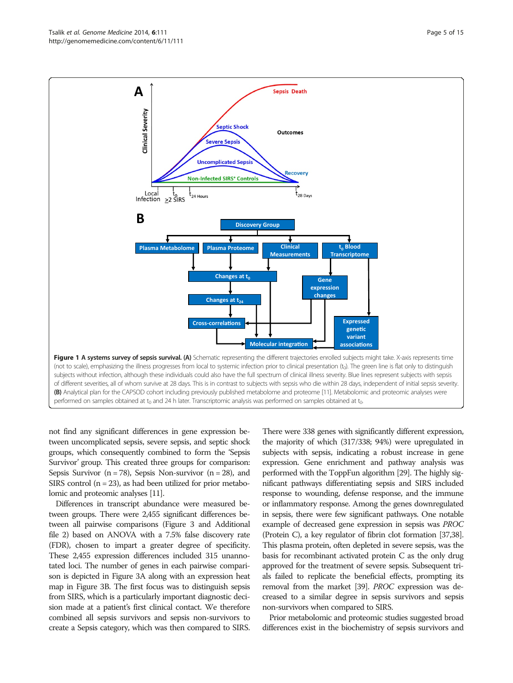not find any significant differences in gene expression between uncomplicated sepsis, severe sepsis, and septic shock groups, which consequently combined to form the 'Sepsis Survivor' group. This created three groups for comparison: Sepsis Survivor ( $n = 78$ ), Sepsis Non-survivor ( $n = 28$ ), and SIRS control  $(n = 23)$ , as had been utilized for prior metabolomic and proteomic analyses [[11\]](#page-12-0).

Differences in transcript abundance were measured between groups. There were 2,455 significant differences between all pairwise comparisons (Figure [3](#page-7-0) and Additional file [2](#page-11-0)) based on ANOVA with a 7.5% false discovery rate (FDR), chosen to impart a greater degree of specificity. These 2,455 expression differences included 315 unannotated loci. The number of genes in each pairwise comparison is depicted in Figure [3](#page-7-0)A along with an expression heat map in Figure [3](#page-7-0)B. The first focus was to distinguish sepsis from SIRS, which is a particularly important diagnostic decision made at a patient's first clinical contact. We therefore combined all sepsis survivors and sepsis non-survivors to create a Sepsis category, which was then compared to SIRS. There were 338 genes with significantly different expression, the majority of which (317/338; 94%) were upregulated in subjects with sepsis, indicating a robust increase in gene expression. Gene enrichment and pathway analysis was performed with the ToppFun algorithm [[29](#page-13-0)]. The highly significant pathways differentiating sepsis and SIRS included response to wounding, defense response, and the immune or inflammatory response. Among the genes downregulated in sepsis, there were few significant pathways. One notable example of decreased gene expression in sepsis was PROC (Protein C), a key regulator of fibrin clot formation [\[37,38](#page-13-0)]. This plasma protein, often depleted in severe sepsis, was the basis for recombinant activated protein C as the only drug approved for the treatment of severe sepsis. Subsequent trials failed to replicate the beneficial effects, prompting its removal from the market [\[39](#page-13-0)]. PROC expression was decreased to a similar degree in sepsis survivors and sepsis non-survivors when compared to SIRS.

Prior metabolomic and proteomic studies suggested broad differences exist in the biochemistry of sepsis survivors and

<span id="page-4-0"></span>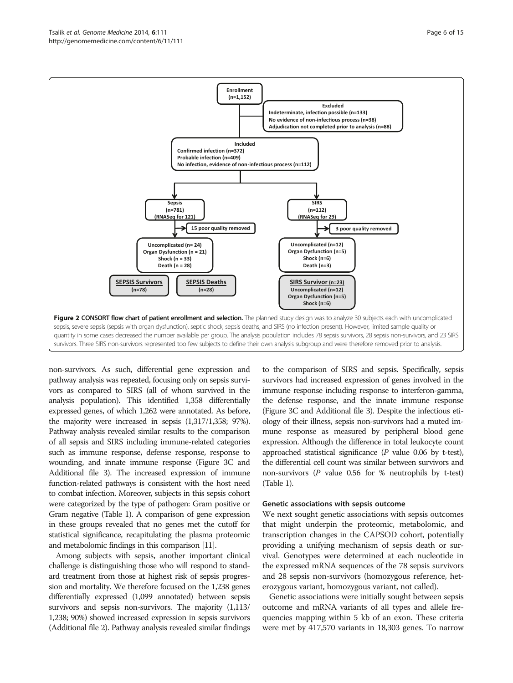<span id="page-5-0"></span>

non-survivors. As such, differential gene expression and pathway analysis was repeated, focusing only on sepsis survivors as compared to SIRS (all of whom survived in the analysis population). This identified 1,358 differentially expressed genes, of which 1,262 were annotated. As before, the majority were increased in sepsis (1,317/1,358; 97%). Pathway analysis revealed similar results to the comparison of all sepsis and SIRS including immune-related categories such as immune response, defense response, response to wounding, and innate immune response (Figure [3](#page-7-0)C and Additional file [3\)](#page-11-0). The increased expression of immune function-related pathways is consistent with the host need to combat infection. Moreover, subjects in this sepsis cohort were categorized by the type of pathogen: Gram positive or Gram negative (Table [1\)](#page-6-0). A comparison of gene expression in these groups revealed that no genes met the cutoff for statistical significance, recapitulating the plasma proteomic and metabolomic findings in this comparison [\[11\]](#page-12-0).

Among subjects with sepsis, another important clinical challenge is distinguishing those who will respond to standard treatment from those at highest risk of sepsis progression and mortality. We therefore focused on the 1,238 genes differentially expressed (1,099 annotated) between sepsis survivors and sepsis non-survivors. The majority (1,113/ 1,238; 90%) showed increased expression in sepsis survivors (Additional file [2\)](#page-11-0). Pathway analysis revealed similar findings to the comparison of SIRS and sepsis. Specifically, sepsis survivors had increased expression of genes involved in the immune response including response to interferon-gamma, the defense response, and the innate immune response (Figure [3C](#page-7-0) and Additional file [3\)](#page-11-0). Despite the infectious etiology of their illness, sepsis non-survivors had a muted immune response as measured by peripheral blood gene expression. Although the difference in total leukocyte count approached statistical significance  $(P \text{ value } 0.06 \text{ by } t\text{-test})$ , the differential cell count was similar between survivors and non-survivors ( $P$  value 0.56 for % neutrophils by t-test) (Table [1\)](#page-6-0).

#### Genetic associations with sepsis outcome

We next sought genetic associations with sepsis outcomes that might underpin the proteomic, metabolomic, and transcription changes in the CAPSOD cohort, potentially providing a unifying mechanism of sepsis death or survival. Genotypes were determined at each nucleotide in the expressed mRNA sequences of the 78 sepsis survivors and 28 sepsis non-survivors (homozygous reference, heterozygous variant, homozygous variant, not called).

Genetic associations were initially sought between sepsis outcome and mRNA variants of all types and allele frequencies mapping within 5 kb of an exon. These criteria were met by 417,570 variants in 18,303 genes. To narrow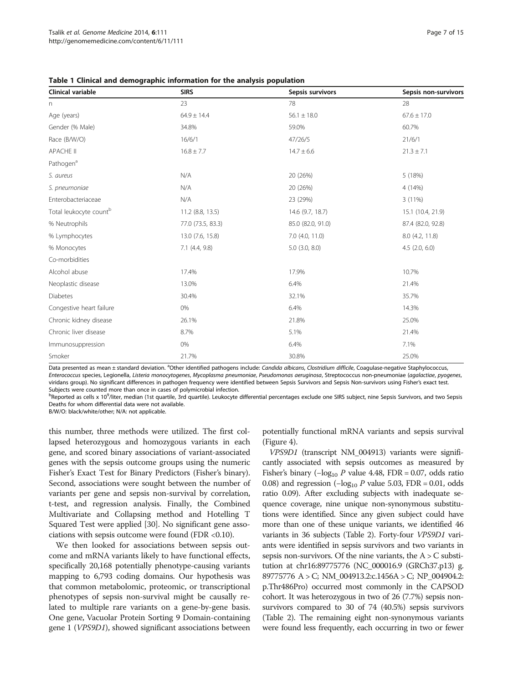| <b>Clinical variable</b>           | <b>SIRS</b>       | Sepsis survivors   | Sepsis non-survivors |  |  |
|------------------------------------|-------------------|--------------------|----------------------|--|--|
| n                                  | 23                | 78                 | 28                   |  |  |
| Age (years)                        | $64.9 \pm 14.4$   | $56.1 \pm 18.0$    | $67.6 \pm 17.0$      |  |  |
| Gender (% Male)                    | 34.8%             | 59.0%              | 60.7%                |  |  |
| Race (B/W/O)                       | 16/6/1            | 47/26/5            | 21/6/1               |  |  |
| <b>APACHE II</b>                   | $16.8 \pm 7.7$    | $14.7 \pm 6.6$     | $21.3 \pm 7.1$       |  |  |
| Pathogen <sup>a</sup>              |                   |                    |                      |  |  |
| S. aureus                          | N/A               | 20 (26%)           | 5 (18%)              |  |  |
| S. pneumoniae                      | N/A               | 20 (26%)           | 4 (14%)              |  |  |
| Enterobacteriaceae                 | N/A               | 23 (29%)           | 3(11%)               |  |  |
| Total leukocyte count <sup>b</sup> | 11.2 (8.8, 13.5)  | 14.6 (9.7, 18.7)   | 15.1 (10.4, 21.9)    |  |  |
| % Neutrophils                      | 77.0 (73.5, 83.3) | 85.0 (82.0, 91.0)  | 87.4 (82.0, 92.8)    |  |  |
| % Lymphocytes                      | 13.0 (7.6, 15.8)  | 7.0 (4.0, 11.0)    | 8.0 (4.2, 11.8)      |  |  |
| % Monocytes                        | 7.1 (4.4, 9.8)    | $5.0$ $(3.0, 8.0)$ | $4.5$ (2.0, 6.0)     |  |  |
| Co-morbidities                     |                   |                    |                      |  |  |
| Alcohol abuse                      | 17.4%             | 17.9%              | 10.7%                |  |  |
| Neoplastic disease                 | 13.0%             | 6.4%               | 21.4%                |  |  |
| <b>Diabetes</b>                    | 30.4%             | 32.1%              | 35.7%                |  |  |
| Congestive heart failure           | 0%                | 6.4%               | 14.3%                |  |  |
| Chronic kidney disease             | 26.1%             | 21.8%              | 25.0%                |  |  |
| Chronic liver disease              | 8.7%              | 5.1%               | 21.4%                |  |  |
| Immunosuppression                  | 0%                | 6.4%               | 7.1%                 |  |  |
| Smoker                             | 21.7%             | 30.8%              | 25.0%                |  |  |

<span id="page-6-0"></span>Table 1 Clinical and demographic information for the analysis population

Data presented as mean ± standard deviation. <sup>a</sup>Other identified pathogens include: Candida albicans, Clostridium difficile, Coagulase-negative Staphylococcus, Enterococcus species, Legionella, Listeria monocytogenes, Mycoplasma pneumoniae, Pseudomonas aeruginosa, Streptococcus non-pneumoniae (agalactiae, pyogenes, viridans group). No significant differences in pathogen frequency were identified between Sepsis Survivors and Sepsis Non-survivors using Fisher's exact test. Subjects were counted more than once in cases of polymicrobial infection.

bReported as cells x 10<sup>9</sup>/liter, median (1st quartile, 3rd quartile). Leukocyte differential percentages exclude one SIRS subject, nine Sepsis Survivors, and two Sepsis Deaths for whom differential data were not available.

B/W/O: black/white/other; N/A: not applicable.

this number, three methods were utilized. The first collapsed heterozygous and homozygous variants in each gene, and scored binary associations of variant-associated genes with the sepsis outcome groups using the numeric Fisher's Exact Test for Binary Predictors (Fisher's binary). Second, associations were sought between the number of variants per gene and sepsis non-survival by correlation, t-test, and regression analysis. Finally, the Combined Multivariate and Collapsing method and Hotelling T Squared Test were applied [[30](#page-13-0)]. No significant gene associations with sepsis outcome were found (FDR  $<0.10$ ).

We then looked for associations between sepsis outcome and mRNA variants likely to have functional effects, specifically 20,168 potentially phenotype-causing variants mapping to 6,793 coding domains. Our hypothesis was that common metabolomic, proteomic, or transcriptional phenotypes of sepsis non-survival might be causally related to multiple rare variants on a gene-by-gene basis. One gene, Vacuolar Protein Sorting 9 Domain-containing gene 1 (VPS9D1), showed significant associations between potentially functional mRNA variants and sepsis survival (Figure [4](#page-7-0)).

VPS9D1 (transcript NM\_004913) variants were significantly associated with sepsis outcomes as measured by Fisher's binary  $(-\log_{10} P \text{ value } 4.48, \text{ FDR} = 0.07, \text{ odds ratio}$ 0.08) and regression  $(-\log_{10} P \text{ value } 5.03, \text{FDR} = 0.01, \text{ odds}$ ratio 0.09). After excluding subjects with inadequate sequence coverage, nine unique non-synonymous substitutions were identified. Since any given subject could have more than one of these unique variants, we identified 46 variants in 36 subjects (Table [2](#page-8-0)). Forty-four VPS9D1 variants were identified in sepsis survivors and two variants in sepsis non-survivors. Of the nine variants, the  $A > C$  substitution at chr16:89775776 (NC\_000016.9 (GRCh37.p13) g. 89775776 A > C; NM\_004913.2:c.1456A > C; NP\_004904.2: p.Thr486Pro) occurred most commonly in the CAPSOD cohort. It was heterozygous in two of 26 (7.7%) sepsis nonsurvivors compared to 30 of 74 (40.5%) sepsis survivors (Table [2](#page-8-0)). The remaining eight non-synonymous variants were found less frequently, each occurring in two or fewer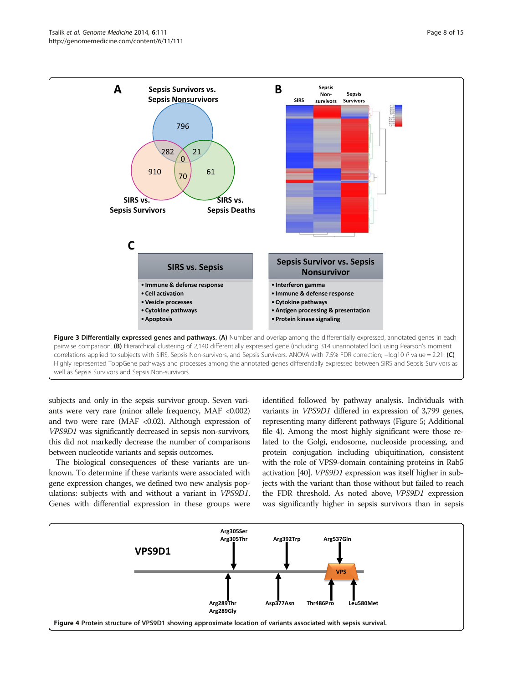<span id="page-7-0"></span>

subjects and only in the sepsis survivor group. Seven variants were very rare (minor allele frequency, MAF <0.002) and two were rare (MAF <0.02). Although expression of VPS9D1 was significantly decreased in sepsis non-survivors, this did not markedly decrease the number of comparisons between nucleotide variants and sepsis outcomes.

The biological consequences of these variants are unknown. To determine if these variants were associated with gene expression changes, we defined two new analysis populations: subjects with and without a variant in VPS9D1. Genes with differential expression in these groups were

identified followed by pathway analysis. Individuals with variants in VPS9D1 differed in expression of 3,799 genes, representing many different pathways (Figure [5;](#page-9-0) Additional file [4](#page-11-0)). Among the most highly significant were those related to the Golgi, endosome, nucleoside processing, and protein conjugation including ubiquitination, consistent with the role of VPS9-domain containing proteins in Rab5 activation [\[40\]](#page-13-0). VPS9D1 expression was itself higher in subjects with the variant than those without but failed to reach the FDR threshold. As noted above, VPS9D1 expression was significantly higher in sepsis survivors than in sepsis

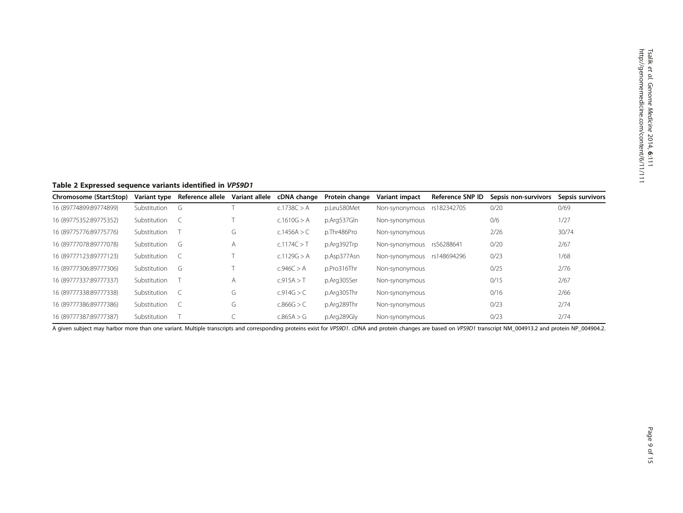<span id="page-8-0"></span>Table 2 Expressed sequence variants identified in VPS9D1

| Chromosome (Start:Stop) | Variant type | Reference allele |   | Variant allele cDNA change | Protein change | Variant impact             | Reference SNP ID | Sepsis non-survivors | Sepsis survivors |
|-------------------------|--------------|------------------|---|----------------------------|----------------|----------------------------|------------------|----------------------|------------------|
| 16 (89774899:89774899)  | Substitution | G                |   | c.1738C > A                | p.Leu580Met    | Non-synonymous rs182342705 |                  | 0/20                 | 0/69             |
| 16 (89775352:89775352)  | Substitution |                  |   | c.1610G > A                | p.Arg537Gln    | Non-synonymous             |                  | 0/6                  | 1/27             |
| 16 (89775776:89775776)  | Substitution |                  | G | c.1456A > C                | p.Thr486Pro    | Non-synonymous             |                  | 2/26                 | 30/74            |
| 16 (89777078:89777078)  | Substitution | G                | A | c.1174C > T                | p.Arg392Trp    | Non-synonymous rs56288641  |                  | 0/20                 | 2/67             |
| 16 (89777123:89777123)  | Substitution |                  |   | c.1129G > A                | p.Asp377Asn    | Non-synonymous rs148694296 |                  | 0/23                 | 1/68             |
| 16 (89777306:89777306)  | Substitution | G                |   | c.946C > A                 | p.Pro316Thr    | Non-synonymous             |                  | 0/25                 | 2/76             |
| 16 (89777337:89777337)  | Substitution |                  | A | c.915A > T                 | p.Arg305Ser    | Non-synonymous             |                  | 0/15                 | 2/67             |
| 16 (89777338:89777338)  | Substitution |                  | G | c.914G > C                 | p.Arg305Thr    | Non-synonymous             |                  | 0/16                 | 2/66             |
| 16 (89777386:89777386)  | Substitution | C                | G | c.866G > C                 | p.Arg289Thr    | Non-synonymous             |                  | 0/23                 | 2/74             |
| 16 (89777387:89777387)  | Substitution |                  |   | c.865A > G                 | p.Arg289Gly    | Non-synonymous             |                  | 0/23                 | 2/74             |

A given subject may harbor more than one variant. Multiple transcripts and corresponding proteins exist for VPS9D1. cDNA and protein changes are based on VPS9D1 transcript NM\_004913.2 and protein NP\_004904.2.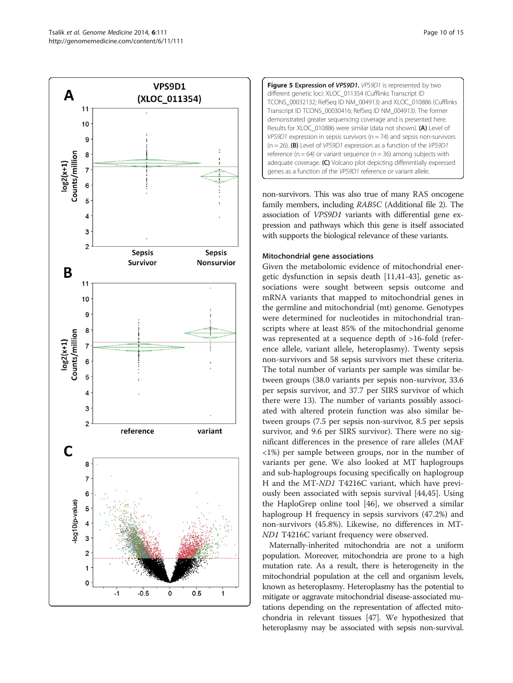<span id="page-9-0"></span>



non-survivors. This was also true of many RAS oncogene family members, including RAB5C (Additional file [2](#page-11-0)). The association of VPS9D1 variants with differential gene expression and pathways which this gene is itself associated with supports the biological relevance of these variants.

#### Mitochondrial gene associations

Given the metabolomic evidence of mitochondrial energetic dysfunction in sepsis death [\[11,](#page-12-0)[41-43](#page-13-0)], genetic associations were sought between sepsis outcome and mRNA variants that mapped to mitochondrial genes in the germline and mitochondrial (mt) genome. Genotypes were determined for nucleotides in mitochondrial transcripts where at least 85% of the mitochondrial genome was represented at a sequence depth of >16-fold (reference allele, variant allele, heteroplasmy). Twenty sepsis non-survivors and 58 sepsis survivors met these criteria. The total number of variants per sample was similar between groups (38.0 variants per sepsis non-survivor, 33.6 per sepsis survivor, and 37.7 per SIRS survivor of which there were 13). The number of variants possibly associated with altered protein function was also similar between groups (7.5 per sepsis non-survivor, 8.5 per sepsis survivor, and 9.6 per SIRS survivor). There were no significant differences in the presence of rare alleles (MAF <1%) per sample between groups, nor in the number of variants per gene. We also looked at MT haplogroups and sub-haplogroups focusing specifically on haplogroup H and the MT-ND1 T4216C variant, which have previously been associated with sepsis survival [\[44,45](#page-13-0)]. Using the HaploGrep online tool [[46](#page-13-0)], we observed a similar haplogroup H frequency in sepsis survivors (47.2%) and non-survivors (45.8%). Likewise, no differences in MT-ND1 T4216C variant frequency were observed.

Maternally-inherited mitochondria are not a uniform population. Moreover, mitochondria are prone to a high mutation rate. As a result, there is heterogeneity in the mitochondrial population at the cell and organism levels, known as heteroplasmy. Heteroplasmy has the potential to mitigate or aggravate mitochondrial disease-associated mutations depending on the representation of affected mitochondria in relevant tissues [\[47](#page-13-0)]. We hypothesized that heteroplasmy may be associated with sepsis non-survival.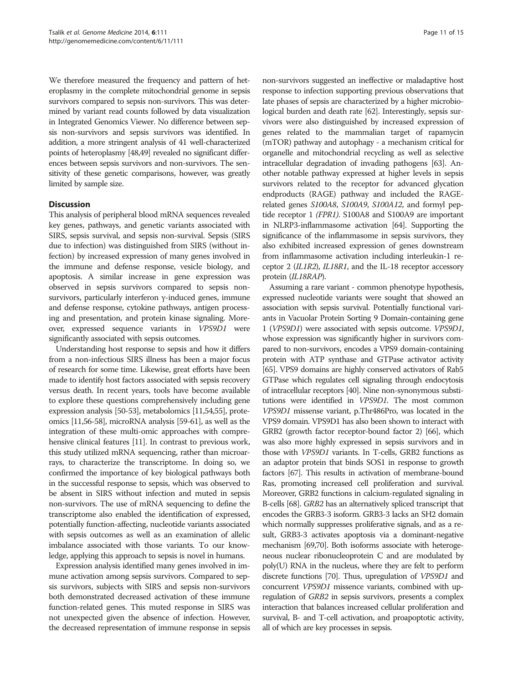We therefore measured the frequency and pattern of heteroplasmy in the complete mitochondrial genome in sepsis survivors compared to sepsis non-survivors. This was determined by variant read counts followed by data visualization in Integrated Genomics Viewer. No difference between sepsis non-survivors and sepsis survivors was identified. In addition, a more stringent analysis of 41 well-characterized points of heteroplasmy [\[48,49\]](#page-13-0) revealed no significant differences between sepsis survivors and non-survivors. The sensitivity of these genetic comparisons, however, was greatly limited by sample size.

## **Discussion**

This analysis of peripheral blood mRNA sequences revealed key genes, pathways, and genetic variants associated with SIRS, sepsis survival, and sepsis non-survival. Sepsis (SIRS due to infection) was distinguished from SIRS (without infection) by increased expression of many genes involved in the immune and defense response, vesicle biology, and apoptosis. A similar increase in gene expression was observed in sepsis survivors compared to sepsis nonsurvivors, particularly interferon  $\gamma$ -induced genes, immune and defense response, cytokine pathways, antigen processing and presentation, and protein kinase signaling. Moreover, expressed sequence variants in VPS9D1 were significantly associated with sepsis outcomes.

Understanding host response to sepsis and how it differs from a non-infectious SIRS illness has been a major focus of research for some time. Likewise, great efforts have been made to identify host factors associated with sepsis recovery versus death. In recent years, tools have become available to explore these questions comprehensively including gene expression analysis [\[50-53](#page-13-0)], metabolomics [\[11,](#page-12-0)[54,55\]](#page-13-0), proteomics [[11](#page-12-0)[,56](#page-13-0)-[58](#page-13-0)], microRNA analysis [\[59-61](#page-13-0)], as well as the integration of these multi-omic approaches with comprehensive clinical features [\[11\]](#page-12-0). In contrast to previous work, this study utilized mRNA sequencing, rather than microarrays, to characterize the transcriptome. In doing so, we confirmed the importance of key biological pathways both in the successful response to sepsis, which was observed to be absent in SIRS without infection and muted in sepsis non-survivors. The use of mRNA sequencing to define the transcriptome also enabled the identification of expressed, potentially function-affecting, nucleotide variants associated with sepsis outcomes as well as an examination of allelic imbalance associated with those variants. To our knowledge, applying this approach to sepsis is novel in humans.

Expression analysis identified many genes involved in immune activation among sepsis survivors. Compared to sepsis survivors, subjects with SIRS and sepsis non-survivors both demonstrated decreased activation of these immune function-related genes. This muted response in SIRS was not unexpected given the absence of infection. However, the decreased representation of immune response in sepsis

non-survivors suggested an ineffective or maladaptive host response to infection supporting previous observations that late phases of sepsis are characterized by a higher microbiological burden and death rate [[62](#page-13-0)]. Interestingly, sepsis survivors were also distinguished by increased expression of genes related to the mammalian target of rapamycin (mTOR) pathway and autophagy - a mechanism critical for organelle and mitochondrial recycling as well as selective intracellular degradation of invading pathogens [\[63](#page-13-0)]. Another notable pathway expressed at higher levels in sepsis survivors related to the receptor for advanced glycation endproducts (RAGE) pathway and included the RAGErelated genes S100A8, S100A9, S100A12, and formyl peptide receptor 1 (FPR1). S100A8 and S100A9 are important in NLRP3-inflammasome activation [\[64](#page-13-0)]. Supporting the significance of the inflammasome in sepsis survivors, they also exhibited increased expression of genes downstream from inflammasome activation including interleukin-1 receptor 2 (IL1R2), IL18R1, and the IL-18 receptor accessory protein (IL18RAP).

Assuming a rare variant - common phenotype hypothesis, expressed nucleotide variants were sought that showed an association with sepsis survival. Potentially functional variants in Vacuolar Protein Sorting 9 Domain-containing gene 1 (VPS9D1) were associated with sepsis outcome. VPS9D1, whose expression was significantly higher in survivors compared to non-survivors, encodes a VPS9 domain-containing protein with ATP synthase and GTPase activator activity [[65\]](#page-13-0). VPS9 domains are highly conserved activators of Rab5 GTPase which regulates cell signaling through endocytosis of intracellular receptors [[40](#page-13-0)]. Nine non-synonymous substitutions were identified in VPS9D1. The most common VPS9D1 missense variant, p.Thr486Pro, was located in the VPS9 domain. VPS9D1 has also been shown to interact with GRB2 (growth factor receptor-bound factor 2) [\[66](#page-13-0)], which was also more highly expressed in sepsis survivors and in those with VPS9D1 variants. In T-cells, GRB2 functions as an adaptor protein that binds SOS1 in response to growth factors [\[67](#page-13-0)]. This results in activation of membrane-bound Ras, promoting increased cell proliferation and survival. Moreover, GRB2 functions in calcium-regulated signaling in B-cells [[68](#page-14-0)]. GRB2 has an alternatively spliced transcript that encodes the GRB3-3 isoform. GRB3-3 lacks an SH2 domain which normally suppresses proliferative signals, and as a result, GRB3-3 activates apoptosis via a dominant-negative mechanism [\[69,70](#page-14-0)]. Both isoforms associate with heterogeneous nuclear ribonucleoprotein C and are modulated by poly(U) RNA in the nucleus, where they are felt to perform discrete functions [[70\]](#page-14-0). Thus, upregulation of VPS9D1 and concurrent VPS9D1 missence variants, combined with upregulation of GRB2 in sepsis survivors, presents a complex interaction that balances increased cellular proliferation and survival, B- and T-cell activation, and proapoptotic activity, all of which are key processes in sepsis.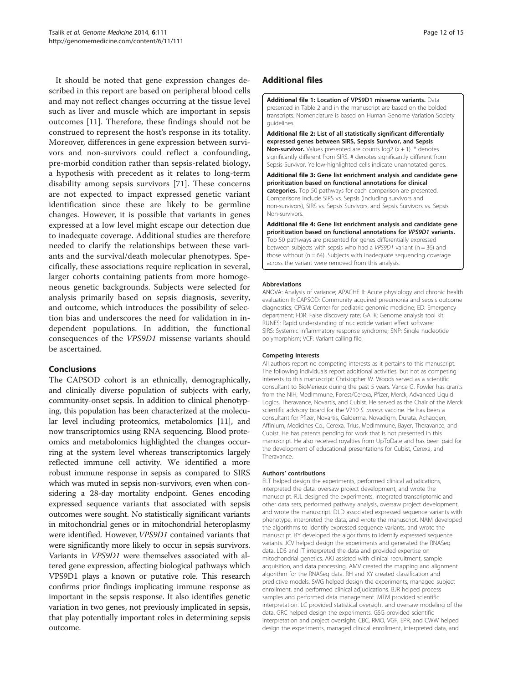<span id="page-11-0"></span>It should be noted that gene expression changes described in this report are based on peripheral blood cells and may not reflect changes occurring at the tissue level such as liver and muscle which are important in sepsis outcomes [[11\]](#page-12-0). Therefore, these findings should not be construed to represent the host's response in its totality. Moreover, differences in gene expression between survivors and non-survivors could reflect a confounding, pre-morbid condition rather than sepsis-related biology, a hypothesis with precedent as it relates to long-term disability among sepsis survivors [\[71](#page-14-0)]. These concerns are not expected to impact expressed genetic variant identification since these are likely to be germline changes. However, it is possible that variants in genes expressed at a low level might escape our detection due to inadequate coverage. Additional studies are therefore needed to clarify the relationships between these variants and the survival/death molecular phenotypes. Specifically, these associations require replication in several, larger cohorts containing patients from more homogeneous genetic backgrounds. Subjects were selected for analysis primarily based on sepsis diagnosis, severity, and outcome, which introduces the possibility of selection bias and underscores the need for validation in independent populations. In addition, the functional consequences of the VPS9D1 missense variants should be ascertained.

## Conclusions

The CAPSOD cohort is an ethnically, demographically, and clinically diverse population of subjects with early, community-onset sepsis. In addition to clinical phenotyping, this population has been characterized at the molecular level including proteomics, metabolomics [[11](#page-12-0)], and now transcriptomics using RNA sequencing. Blood proteomics and metabolomics highlighted the changes occurring at the system level whereas transcriptomics largely reflected immune cell activity. We identified a more robust immune response in sepsis as compared to SIRS which was muted in sepsis non-survivors, even when considering a 28-day mortality endpoint. Genes encoding expressed sequence variants that associated with sepsis outcomes were sought. No statistically significant variants in mitochondrial genes or in mitochondrial heteroplasmy were identified. However, VPS9D1 contained variants that were significantly more likely to occur in sepsis survivors. Variants in VPS9D1 were themselves associated with altered gene expression, affecting biological pathways which VPS9D1 plays a known or putative role. This research confirms prior findings implicating immune response as important in the sepsis response. It also identifies genetic variation in two genes, not previously implicated in sepsis, that play potentially important roles in determining sepsis outcome.

## Additional files

[Additional file 1:](http://genomemedicine.com/content/supplementary/s13073-014-0111-5-s1.xlsx) Location of VPS9D1 missense variants. Data presented in Table [2](#page-8-0) and in the manuscript are based on the bolded transcripts. Nomenclature is based on Human Genome Variation Society guidelines.

[Additional file 2:](http://genomemedicine.com/content/supplementary/s13073-014-0111-5-s2.xlsx) List of all statistically significant differentially expressed genes between SIRS, Sepsis Survivor, and Sepsis **Non-survivor.** Values presented are counts  $log2(x + 1)$ . \* denotes significantly different from SIRS. # denotes significantly different from Sepsis Survivor. Yellow-highlighted cells indicate unannotated genes.

[Additional file 3:](http://genomemedicine.com/content/supplementary/s13073-014-0111-5-s3.xlsx) Gene list enrichment analysis and candidate gene prioritization based on functional annotations for clinical categories. Top 50 pathways for each comparison are presented. Comparisons include SIRS vs. Sepsis (including survivors and non-survivors), SIRS vs. Sepsis Survivors, and Sepsis Survivors vs. Sepsis Non-survivors.

[Additional file 4:](http://genomemedicine.com/content/supplementary/s13073-014-0111-5-s4.xlsx) Gene list enrichment analysis and candidate gene prioritization based on functional annotations for VPS9D1 variants. Top 50 pathways are presented for genes differentially expressed between subjects with sepsis who had a  $VPS9D1$  variant (n = 36) and those without ( $n = 64$ ). Subjects with inadequate sequencing coverage across the variant were removed from this analysis.

#### Abbreviations

ANOVA: Analysis of variance; APACHE II: Acute physiology and chronic health evaluation II; CAPSOD: Community acquired pneumonia and sepsis outcome diagnostics; CPGM: Center for pediatric genomic medicine; ED: Emergency department; FDR: False discovery rate; GATK: Genome analysis tool kit; RUNES: Rapid understanding of nucleotide variant effect software; SIRS: Systemic inflammatory response syndrome; SNP: Single nucleotide polymorphism; VCF: Variant calling file.

#### Competing interests

All authors report no competing interests as it pertains to this manuscript. The following individuals report additional activities, but not as competing interests to this manuscript: Christopher W. Woods served as a scientific consultant to BioMerieux during the past 5 years. Vance G. Fowler has grants from the NIH, MedImmune, Forest/Cerexa, Pfizer, Merck, Advanced Liquid Logics, Theravance, Novartis, and Cubist. He served as the Chair of the Merck scientific advisory board for the V710 S. aureus vaccine. He has been a consultant for Pfizer, Novartis, Galderma, Novadigm, Durata, Achaogen, Affinium, Medicines Co., Cerexa, Trius, MedImmune, Bayer, Theravance, and Cubist. He has patents pending for work that is not presented in this manuscript. He also received royalties from UpToDate and has been paid for the development of educational presentations for Cubist, Cerexa, and Theravance.

#### Authors' contributions

ELT helped design the experiments, performed clinical adjudications, interpreted the data, oversaw project development, and wrote the manuscript. RJL designed the experiments, integrated transcriptomic and other data sets, performed pathway analysis, oversaw project development, and wrote the manuscript. DLD associated expressed sequence variants with phenotype, interpreted the data, and wrote the manuscript. NAM developed the algorithms to identify expressed sequence variants, and wrote the manuscript. BY developed the algorithms to identify expressed sequence variants. JCV helped design the experiments and generated the RNASeq data. LDS and IT interpreted the data and provided expertise on mitochondrial genetics. AKJ assisted with clinical recruitment, sample acquisition, and data processing. AMV created the mapping and alignment algorithm for the RNASeq data. RH and XY created classification and predictive models. SWG helped design the experiments, managed subject enrollment, and performed clinical adjudications. BJR helped process samples and performed data management. MTM provided scientific interpretation. LC provided statistical oversight and oversaw modeling of the data. GRC helped design the experiments. GSG provided scientific interpretation and project oversight. CBC, RMO, VGF, EPR, and CWW helped design the experiments, managed clinical enrollment, interpreted data, and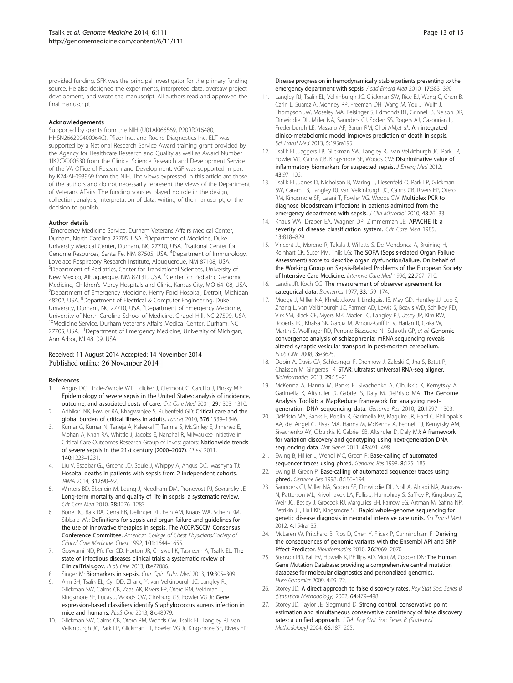<span id="page-12-0"></span>provided funding. SFK was the principal investigator for the primary funding source. He also designed the experiments, interpreted data, oversaw project development, and wrote the manuscript. All authors read and approved the final manuscript.

#### Acknowledgements

Supported by grants from the NIH (U01AI066569, P20RR016480, HHSN266200400064C), Pfizer Inc., and Roche Diagnostics Inc. ELT was supported by a National Research Service Award training grant provided by the Agency for Healthcare Research and Quality as well as Award Number 1IK2CX000530 from the Clinical Science Research and Development Service of the VA Office of Research and Development. VGF was supported in part by K24-AI-093969 from the NIH. The views expressed in this article are those of the authors and do not necessarily represent the views of the Department of Veterans Affairs. The funding sources played no role in the design, collection, analysis, interpretation of data, writing of the manuscript, or the decision to publish.

#### Author details

<sup>1</sup> Emergency Medicine Service, Durham Veterans Affairs Medical Center, Durham, North Carolina 27705, USA. <sup>2</sup>Department of Medicine, Duke University Medical Center, Durham, NC 27710, USA. <sup>3</sup>National Center for Genome Resources, Santa Fe, NM 87505, USA. <sup>4</sup>Department of Immunology, Lovelace Respiratory Research Institute, Albuquerque, NM 87108, USA. 5 Department of Pediatrics, Center for Translational Sciences, University of New Mexico, Albuquerque, NM 87131, USA. <sup>6</sup>Center for Pediatric Genomic Medicine, Children's Mercy Hospitals and Clinic, Kansas City, MO 64108, USA. <sup>7</sup> Department of Emergency Medicine, Henry Ford Hospital, Detroit, Michigan 48202, USA. <sup>8</sup>Department of Electrical & Computer Engineering, Duke University, Durham, NC 27710, USA. <sup>9</sup>Department of Emergency Medicine, University of North Carolina School of Medicine, Chapel Hill, NC 27599, USA. <sup>10</sup>Medicine Service, Durham Veterans Affairs Medical Center, Durham, NC 27705, USA. 11Department of Emergency Medicine, University of Michigan, Ann Arbor, MI 48109, USA.

#### Received: 11 August 2014 Accepted: 14 November 2014 Published online: 26 November 2014

#### References

- 1. Angus DC, Linde-Zwirble WT, Lidicker J, Clermont G, Carcillo J, Pinsky MR: Epidemiology of severe sepsis in the United States: analysis of incidence, outcome, and associated costs of care. Crit Care Med 2001, 29:1303–1310.
- 2. Adhikari NK, Fowler RA, Bhagwanjee S, Rubenfeld GD: Critical care and the global burden of critical illness in adults. Lancet 2010, 376:1339–1346.
- 3. Kumar G, Kumar N, Taneja A, Kaleekal T, Tarima S, McGinley E, Jimenez E, Mohan A, Khan RA, Whittle J, Jacobs E, Nanchal R, Milwaukee Initiative in Critical Care Outcomes Research Group of Investigators: Nationwide trends of severe sepsis in the 21st century (2000–2007). Chest 2011, 140:1223–1231.
- 4. Liu V, Escobar GJ, Greene JD, Soule J, Whippy A, Angus DC, Iwashyna TJ: Hospital deaths in patients with sepsis from 2 independent cohorts. JAMA 2014, 312:90–92.
- 5. Winters BD, Eberlein M, Leung J, Needham DM, Pronovost PJ, Sevransky JE: Long-term mortality and quality of life in sepsis: a systematic review. Crit Care Med 2010, 38:1276–1283.
- 6. Bone RC, Balk RA, Cerra FB, Dellinger RP, Fein AM, Knaus WA, Schein RM, Sibbald WJ: Definitions for sepsis and organ failure and guidelines for the use of innovative therapies in sepsis. The ACCP/SCCM Consensus Conference Committee. American College of Chest Physicians/Society of Critical Care Medicine. Chest 1992, 101:1644–1655.
- 7. Goswami ND, Pfeiffer CD, Horton JR, Chiswell K, Tasneem A, Tsalik EL: The state of infectious diseases clinical trials: a systematic review of ClinicalTrials.gov. PLoS One 2013, 8:e77086.
- 8. Singer M: Biomarkers in sepsis. Curr Opin Pulm Med 2013, 19:305-309.
- 9. Ahn SH, Tsalik EL, Cyr DD, Zhang Y, van Velkinburgh JC, Langley RJ, Glickman SW, Cairns CB, Zaas AK, Rivers EP, Otero RM, Veldman T, Kingsmore SF, Lucas J, Woods CW, Ginsburg GS, Fowler VG Jr: Gene expression-based classifiers identify Staphylococcus aureus infection in mice and humans. PLoS One 2013, 8:e48979.
- 10. Glickman SW, Cairns CB, Otero RM, Woods CW, Tsalik EL, Langley RJ, van Velkinburgh JC, Park LP, Glickman LT, Fowler VG Jr, Kingsmore SF, Rivers EP:

Disease progression in hemodynamically stable patients presenting to the emergency department with sepsis. Acad Emerg Med 2010, 17:383–390.

- 11. Langley RJ, Tsalik EL, Velkinburgh JC, Glickman SW, Rice BJ, Wang C, Chen B, Carin L, Suarez A, Mohney RP, Freeman DH, Wang M, You J, Wulff J, Thompson JW, Moseley MA, Reisinger S, Edmonds BT, Grinnell B, Nelson DR, Dinwiddie DL, Miller NA, Saunders CJ, Soden SS, Rogers AJ, Gazourian L, Fredenburgh LE, Massaro AF, Baron RM, Choi AM,et al.: An integrated clinico-metabolomic model improves prediction of death in sepsis. Sci Transl Med 2013, 5:195ra195.
- 12. Tsalik EL, Jaggers LB, Glickman SW, Langley RJ, van Velkinburgh JC, Park LP, Fowler VG, Cairns CB, Kingsmore SF, Woods CW: Discriminative value of inflammatory biomarkers for suspected sepsis. J Emerg Med 2012, 43:97–106.
- 13. Tsalik EL, Jones D, Nicholson B, Waring L, Liesenfeld O, Park LP, Glickman SW, Caram LB, Langley RJ, van Velkinburgh JC, Cairns CB, Rivers EP, Otero RM, Kingsmore SF, Lalani T, Fowler VG, Woods CW: Multiplex PCR to diagnose bloodstream infections in patients admitted from the emergency department with sepsis. J Clin Microbiol 2010, 48:26-33.
- 14. Knaus WA, Draper EA, Wagner DP, Zimmerman JE: APACHE II: a severity of disease classification system. Crit Care Med 1985, 13:818–829.
- 15. Vincent JL, Moreno R, Takala J, Willatts S, De Mendonca A, Bruining H, Reinhart CK, Suter PM, Thijs LG: The SOFA (Sepsis-related Organ Failure Assessment) score to describe organ dysfunction/failure. On behalf of the Working Group on Sepsis-Related Problems of the European Society of Intensive Care Medicine. Intensive Care Med 1996, 22:707–710.
- 16. Landis JR, Koch GG: The measurement of observer agreement for categorical data. Biometrics 1977, 33:159–174.
- 17. Mudge J, Miller NA, Khrebtukova I, Lindquist IE, May GD, Huntley JJ, Luo S, Zhang L, van Velkinburgh JC, Farmer AD, Lewis S, Beavis WD, Schilkey FD, Virk SM, Black CF, Myers MK, Mader LC, Langley RJ, Utsey JP, Kim RW, Roberts RC, Khalsa SK, Garcia M, Ambriz-Griffith V, Harlan R, Czika W, Martin S, Wolfinger RD, Perrone-Bizzozero NI, Schroth GP, et al: Genomic convergence analysis of schizophrenia: mRNA sequencing reveals altered synaptic vesicular transport in post-mortem cerebellum. PLoS ONE 2008, 3:e3625.
- 18. Dobin A, Davis CA, Schlesinger F, Drenkow J, Zaleski C, Jha S, Batut P, Chaisson M, Gingeras TR: STAR: ultrafast universal RNA-seq aligner. Bioinformatics 2013, 29:15-21.
- 19. McKenna A, Hanna M, Banks E, Sivachenko A, Cibulskis K, Kernytsky A, Garimella K, Altshuler D, Gabriel S, Daly M, DePristo MA: The Genome Analysis Toolkit: a MapReduce framework for analyzing nextgeneration DNA sequencing data. Genome Res 2010, 20:1297–1303.
- 20. DePristo MA, Banks E, Poplin R, Garimella KV, Maguire JR, Hartl C, Philippakis AA, del Angel G, Rivas MA, Hanna M, McKenna A, Fennell TJ, Kernytsky AM, Sivachenko AY, Cibulskis K, Gabriel SB, Altshuler D, Daly MJ: A framework for variation discovery and genotyping using next-generation DNA sequencing data. Nat Genet 2011, 43:491-498.
- 21. Ewing B, Hillier L, Wendl MC, Green P: Base-calling of automated sequencer traces using phred. Genome Res 1998, 8:175-185.
- 22. Ewing B, Green P: Base-calling of automated sequencer traces using phred. Genome Res 1998, 8:186–194.
- 23. Saunders CJ, Miller NA, Soden SE, Dinwiddie DL, Noll A, Alnadi NA, Andraws N, Patterson ML, Krivohlavek LA, Fellis J, Humphray S, Saffrey P, Kingsbury Z, Weir JC, Betley J, Grocock RJ, Margulies EH, Farrow EG, Artman M, Safina NP, Petrikin JE, Hall KP, Kingsmore SF: Rapid whole-genome sequencing for genetic disease diagnosis in neonatal intensive care units. Sci Transl Med 2012, 4:154ra135.
- 24. McLaren W, Pritchard B, Rios D, Chen Y, Flicek P, Cunningham F: Deriving the consequences of genomic variants with the Ensembl API and SNP Effect Predictor. Bioinformatics 2010, 26:2069–2070.
- 25. Stenson PD, Ball EV, Howells K, Phillips AD, Mort M, Cooper DN: The Human Gene Mutation Database: providing a comprehensive central mutation database for molecular diagnostics and personalized genomics. Hum Genomics 2009, 4:69–72.
- 26. Storey JD: A direct approach to false discovery rates. Roy Stat Soc: Series B (Statistical Methodology) 2002, 64:479–498.
- 27. Storey JD, Taylor JE, Siegmund D: Strong control, conservative point estimation and simultaneous conservative consistency of false discovery rates: a unified approach. J Teh Roy Stat Soc: Series B (Statistical Methodology) 2004, 66:187–205.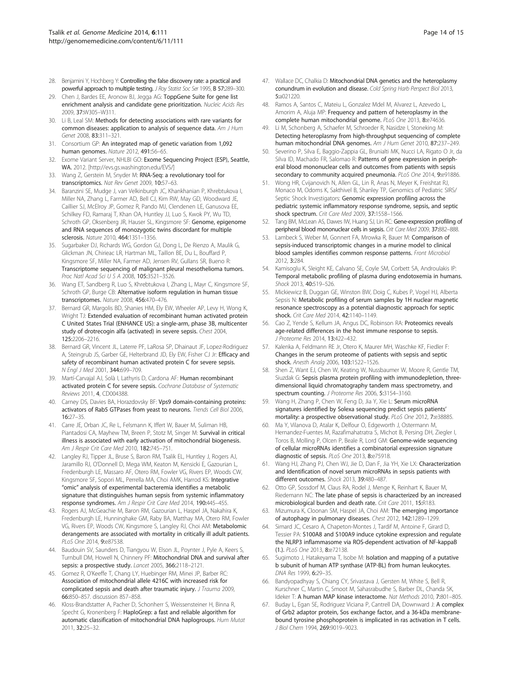- <span id="page-13-0"></span>28. Benjamini Y, Hochberg Y: Controlling the false discovery rate: a practical and powerful approach to multiple testing. J Roy Statist Soc Ser 1995, B 57:289-300.
- 29. Chen J, Bardes EE, Aronow BJ, Jegga AG: ToppGene Suite for gene list enrichment analysis and candidate gene prioritization. Nucleic Acids Res 2009, 37:W305–W311.
- 30. Li B, Leal SM: Methods for detecting associations with rare variants for common diseases: application to analysis of sequence data. Am J Hum Genet 2008, 83:311–321.
- 31. Consortium GP: An integrated map of genetic variation from 1,092 human genomes. Nature 2012, 491:56–65.
- 32. Exome Variant Server, NHLBI GO: Exome Sequencing Project (ESP), Seattle, WA. 2012. [\[http://evs.gs.washington.edu/EVS/](http://evs.gs.washington.edu/EVS/)]
- 33. Wang Z, Gerstein M, Snyder M: RNA-Seq: a revolutionary tool for transcriptomics. Nat Rev Genet 2009, 10:57–63.
- 34. Baranzini SE, Mudge J, van Velkinburgh JC, Khankhanian P, Khrebtukova I, Miller NA, Zhang L, Farmer AD, Bell CJ, Kim RW, May GD, Woodward JE, Caillier SJ, McElroy JP, Gomez R, Pando MJ, Clendenen LE, Ganusova EE, Schilkey FD, Ramaraj T, Khan OA, Huntley JJ, Luo S, Kwok PY, Wu TD, Schroth GP, Oksenberg JR, Hauser SL, Kingsmore SF: Genome, epigenome and RNA sequences of monozygotic twins discordant for multiple sclerosis. Nature 2010, 464:1351–1356.
- 35. Sugarbaker DJ, Richards WG, Gordon GJ, Dong L, De Rienzo A, Maulik G, Glickman JN, Chirieac LR, Hartman ML, Taillon BE, Du L, Bouffard P, Kingsmore SF, Miller NA, Farmer AD, Jensen RV, Gullans SR, Bueno R: Transcriptome sequencing of malignant pleural mesothelioma tumors. Proc Natl Acad Sci U S A 2008, 105:3521–3526.
- 36. Wang ET, Sandberg R, Luo S, Khrebtukova I, Zhang L, Mayr C, Kingsmore SF, Schroth GP, Burge CB: Alternative isoform regulation in human tissue transcriptomes. Nature 2008, 456:470–476.
- 37. Bernard GR, Margolis BD, Shanies HM, Ely EW, Wheeler AP, Levy H, Wong K, Wright TJ: Extended evaluation of recombinant human activated protein C United States Trial (ENHANCE US): a single-arm, phase 3B, multicenter study of drotrecogin alfa (activated) in severe sepsis. Chest 2004, 125:2206–2216.
- 38. Bernard GR, Vincent JL, Laterre PF, LaRosa SP, Dhainaut JF, Lopez-Rodriguez A, Steingrub JS, Garber GE, Helterbrand JD, Ely EW, Fisher CJ Jr: Efficacy and safety of recombinant human activated protein C for severe sepsis. N Engl J Med 2001, 344:699–709.
- 39. Martí-Carvajal AJ, Solà I, Lathyris D, Cardona AF: Human recombinant activated protein C for severe sepsis. Cochrane Database of Systematic Reviews 2011, 4, CD004388.
- 40. Carney DS, Davies BA, Horazdovsky BF: Vps9 domain-containing proteins: activators of Rab5 GTPases from yeast to neurons. Trends Cell Biol 2006,  $16:27-35$
- 41. Carre JE, Orban JC, Re L, Felsmann K, Iffert W, Bauer M, Suliman HB, Piantadosi CA, Mayhew TM, Breen P, Stotz M, Singer M: Survival in critical illness is associated with early activation of mitochondrial biogenesis. Am J Respir Crit Care Med 2010, 182:745–751.
- 42. Langley RJ, Tipper JL, Bruse S, Baron RM, Tsalik EL, Huntley J, Rogers AJ, Jaramillo RJ, O'Donnell D, Mega WM, Keaton M, Kensicki E, Gazourian L, Fredenburgh LE, Massaro AF, Otero RM, Fowler VG, Rivers EP, Woods CW, Kingsmore SF, Sopori ML, Perrella MA, Choi AMK, Harrod KS: Integrative "omic" analysis of experimental bacteremia identifies a metabolic signature that distinguishes human sepsis from systemic inflammatory response syndromes. Am J Respir Crit Care Med 2014, 190:445–455.
- 43. Rogers AJ, McGeachie M, Baron RM, Gazourian L, Haspel JA, Nakahira K, Fredenburgh LE, Hunninghake GM, Raby BA, Matthay MA, Otero RM, Fowler VG, Rivers EP, Woods CW, Kingsmore S, Langley RJ, Choi AM: Metabolomic derangements are associated with mortality in critically ill adult patients. PLoS One 2014, 9:e87538.
- 44. Baudouin SV, Saunders D, Tiangyou W, Elson JL, Poynter J, Pyle A, Keers S, Turnbull DM, Howell N, Chinnery PF: Mitochondrial DNA and survival after sepsis: a prospective study. Lancet 2005, 366:2118–2121.
- 45. Gomez R, O'Keeffe T, Chang LY, Huebinger RM, Minei JP, Barber RC: Association of mitochondrial allele 4216C with increased risk for complicated sepsis and death after traumatic injury. J Trauma 2009, 66:850–857. discussion 857–858.
- 46. Kloss-Brandstatter A, Pacher D, Schonherr S, Weissensteiner H, Binna R, Specht G, Kronenberg F: HaploGrep: a fast and reliable algorithm for automatic classification of mitochondrial DNA haplogroups. Hum Mutat 2011, 32:25–32.
- 47. Wallace DC, Chalkia D: Mitochondrial DNA genetics and the heteroplasmy conundrum in evolution and disease. Cold Spring Harb Perspect Biol 2013, 5:a021220.
- 48. Ramos A, Santos C, Mateiu L, Gonzalez Mdel M, Alvarez L, Azevedo L, Amorim A, Aluja MP: Frequency and pattern of heteroplasmy in the complete human mitochondrial genome. PLoS One 2013, 8:e74636.
- 49. Li M, Schonberg A, Schaefer M, Schroeder R, Nasidze I, Stoneking M: Detecting heteroplasmy from high-throughput sequencing of complete human mitochondrial DNA genomes. Am J Hum Genet 2010, 87:237–249.
- 50. Severino P, Silva E, Baggio-Zappia GL, Brunialti MK, Nucci LA, Rigato O Jr, da Silva ID, Machado FR, Salomao R: Patterns of gene expression in peripheral blood mononuclear cells and outcomes from patients with sepsis secondary to community acquired pneumonia. PLoS One 2014, 9:e91886.
- 51. Wong HR, Cvijanovich N, Allen GL, Lin R, Anas N, Meyer K, Freishtat RJ, Monaco M, Odoms K, Sakthivel B, Shanley TP, Genomics of Pediatric SIRS/ Septic Shock Investigators: Genomic expression profiling across the pediatric systemic inflammatory response syndrome, sepsis, and septic shock spectrum. Crit Care Med 2009, 37:1558-1566.
- 52. Tang BM, McLean AS, Dawes IW, Huang SJ, Lin RC: Gene-expression profiling of peripheral blood mononuclear cells in sepsis. Crit Care Med 2009, 37:882–888.
- 53. Lambeck S, Weber M, Gonnert FA, Mrowka R, Bauer M: Comparison of sepsis-induced transcriptomic changes in a murine model to clinical blood samples identifies common response patterns. Front Microbiol 2012, 3:284.
- 54. Kamisoglu K, Sleight KE, Calvano SE, Coyle SM, Corbett SA, Androulakis IP: Temporal metabolic profiling of plasma during endotoxemia in humans. Shock 2013, 40:519–526.
- 55. Mickiewicz B, Duggan GE, Winston BW, Doig C, Kubes P, Vogel HJ, Alberta Sepsis N: Metabolic profiling of serum samples by 1H nuclear magnetic resonance spectroscopy as a potential diagnostic approach for septic shock. Crit Care Med 2014, 42:1140–1149.
- 56. Cao Z, Yende S, Kellum JA, Angus DC, Robinson RA: Proteomics reveals age-related differences in the host immune response to sepsis. J Proteome Res 2014, 13:422–432.
- 57. Kalenka A, Feldmann RE Jr, Otero K, Maurer MH, Waschke KF, Fiedler F: Changes in the serum proteome of patients with sepsis and septic shock. Anesth Analg 2006, 103:1522–1526.
- 58. Shen Z, Want EJ, Chen W, Keating W, Nussbaumer W, Moore R, Gentle TM, Siuzdak G: Sepsis plasma protein profiling with immunodepletion, threedimensional liquid chromatography tandem mass spectrometry, and spectrum counting. J Proteome Res 2006, 5:3154–3160.
- 59. Wang H, Zhang P, Chen W, Feng D, Jia Y, Xie L: Serum microRNA signatures identified by Solexa sequencing predict sepsis patients' mortality: a prospective observational study. PLoS One 2012, 7:e38885.
- 60. Ma Y, Vilanova D, Atalar K, Delfour O, Edgeworth J, Ostermann M, Hernandez-Fuentes M, Razafimahatratra S, Michot B, Persing DH, Ziegler I, Toros B, Molling P, Olcen P, Beale R, Lord GM: Genome-wide sequencing of cellular microRNAs identifies a combinatorial expression signature diagnostic of sepsis. PLoS One 2013, 8:e75918.
- 61. Wang HJ, Zhang PJ, Chen WJ, Jie D, Dan F, Jia YH, Xie LX: Characterization and Identification of novel serum microRNAs in sepsis patients with different outcomes. Shock 2013, 39:480–487.
- 62. Otto GP, Sossdorf M, Claus RA, Rodel J, Menge K, Reinhart K, Bauer M, Riedemann NC: The late phase of sepsis is characterized by an increased microbiological burden and death rate. Crit Care 2011, 15:R183.
- 63. Mizumura K, Cloonan SM, Haspel JA, Choi AM: The emerging importance of autophagy in pulmonary diseases. Chest 2012, 142:1289–1299.
- 64. Simard JC, Cesaro A, Chapeton-Montes J, Tardif M, Antoine F, Girard D, Tessier PA: S100A8 and S100A9 induce cytokine expression and regulate the NLRP3 inflammasome via ROS-dependent activation of NF-kappaB (1.). PLoS One 2013, 8:e72138.
- Sugimoto J, Hatakeyama T, Isobe M: Isolation and mapping of a putative b subunit of human ATP synthase (ATP-BL) from human leukocytes. DNA Res 1999, 6:29–35.
- 66. Bandyopadhyay S, Chiang CY, Srivastava J, Gersten M, White S, Bell R, Kurschner C, Martin C, Smoot M, Sahasrabudhe S, Barber DL, Chanda SK, Ideker T: A human MAP kinase interactome. Nat Methods 2010, 7:801–805.
- 67. Buday L, Egan SE, Rodriguez Viciana P, Cantrell DA, Downward J: A complex of Grb2 adaptor protein, Sos exchange factor, and a 36-kDa membranebound tyrosine phosphoprotein is implicated in ras activation in T cells. J Biol Chem 1994, 269:9019–9023.